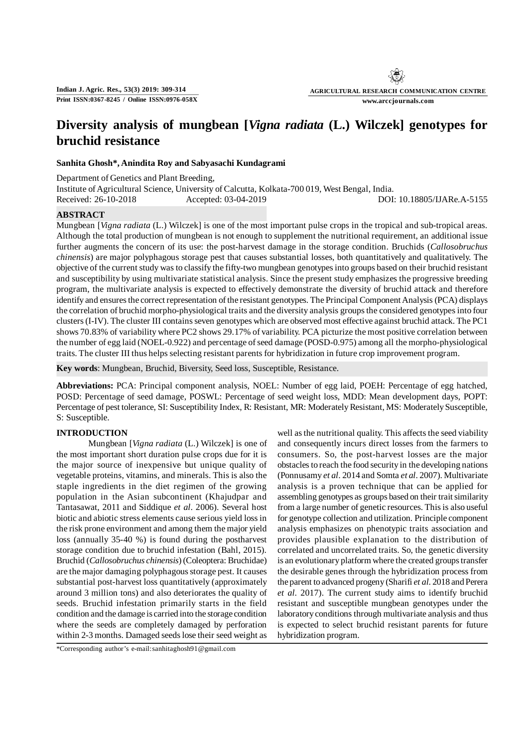# **Diversity analysis of mungbean [***Vigna radiata* **(L.) Wilczek] genotypes for bruchid resistance**

# **Sanhita Ghosh\*, Anindita Roy and Sabyasachi Kundagrami**

Department of Genetics and Plant Breeding, Institute of Agricultural Science, University of Calcutta, Kolkata-700 019, West Bengal, India. Received: 26-10-2018 Accepted: 03-04-2019 DOI: 10.18805/IJARe.A-5155

# **ABSTRACT**

Mungbean [*Vigna radiata* (L.) Wilczek] is one of the most important pulse crops in the tropical and sub-tropical areas. Although the total production of mungbean is not enough to supplement the nutritional requirement, an additional issue further augments the concern of its use: the post-harvest damage in the storage condition. Bruchids (*Callosobruchus chinensis*) are major polyphagous storage pest that causes substantial losses, both quantitatively and qualitatively. The objective of the current study was to classify the fifty-two mungbean genotypes into groups based on their bruchid resistant and susceptibility by using multivariate statistical analysis. Since the present study emphasizes the progressive breeding program, the multivariate analysis is expected to effectively demonstrate the diversity of bruchid attack and therefore identify and ensures the correct representation of the resistant genotypes. The Principal Component Analysis (PCA) displays the correlation of bruchid morpho-physiological traits and the diversity analysis groups the considered genotypes into four clusters (I-IV). The cluster III contains seven genotypes which are observed most effective against bruchid attack. The PC1 shows 70.83% of variability where PC2 shows 29.17% of variability. PCA picturize the most positive correlation between the number of egg laid (NOEL-0.922) and percentage of seed damage (POSD-0.975) among all the morpho-physiological traits. The cluster III thus helps selecting resistant parents for hybridization in future crop improvement program.

**Key words**: Mungbean, Bruchid, Biversity, Seed loss, Susceptible, Resistance.

**Abbreviations:** PCA: Principal component analysis, NOEL: Number of egg laid, POEH: Percentage of egg hatched, POSD: Percentage of seed damage, POSWL: Percentage of seed weight loss, MDD: Mean development days, POPT: Percentage of pest tolerance, SI: Susceptibility Index, R: Resistant, MR: Moderately Resistant, MS: Moderately Susceptible, S: Susceptible.

# **INTRODUCTION**

Mungbean [*Vigna radiata* (L.) Wilczek] is one of the most important short duration pulse crops due for it is the major source of inexpensive but unique quality of vegetable proteins, vitamins, and minerals. This is also the staple ingredients in the diet regimen of the growing population in the Asian subcontinent (Khajudpar and Tantasawat, 2011 and Siddique *et al*. 2006). Several host biotic and abiotic stress elements cause serious yield loss in the risk prone environment and among them the major yield loss (annually 35-40 %) is found during the postharvest storage condition due to bruchid infestation (Bahl, 2015). Bruchid (*Callosobruchus chinensis*) (Coleoptera: Bruchidae) are the major damaging polyphagous storage pest. It causes substantial post-harvest loss quantitatively (approximately around 3 million tons) and also deteriorates the quality of seeds. Bruchid infestation primarily starts in the field condition and the damage is carried into the storage condition where the seeds are completely damaged by perforation within 2-3 months. Damaged seeds lose their seed weight as

\*Corresponding author's e-mail:sanhitaghosh91@gmail.com

well as the nutritional quality. This affects the seed viability and consequently incurs direct losses from the farmers to consumers. So, the post-harvest losses are the major obstacles to reach the food security in the developing nations (Ponnusamy *et al*. 2014 and Somta *et al*. 2007). Multivariate analysis is a proven technique that can be applied for assembling genotypes as groups based on their trait similarity from a large number of genetic resources. This is also useful for genotype collection and utilization. Principle component analysis emphasizes on phenotypic traits association and provides plausible explanation to the distribution of correlated and uncorrelated traits. So, the genetic diversity is an evolutionary platform where the created groups transfer the desirable genes through the hybridization process from the parent to advanced progeny (Sharifi *et al*. 2018 and Perera *et al*. 2017). The current study aims to identify bruchid resistant and susceptible mungbean genotypes under the laboratory conditions through multivariate analysis and thus is expected to select bruchid resistant parents for future hybridization program.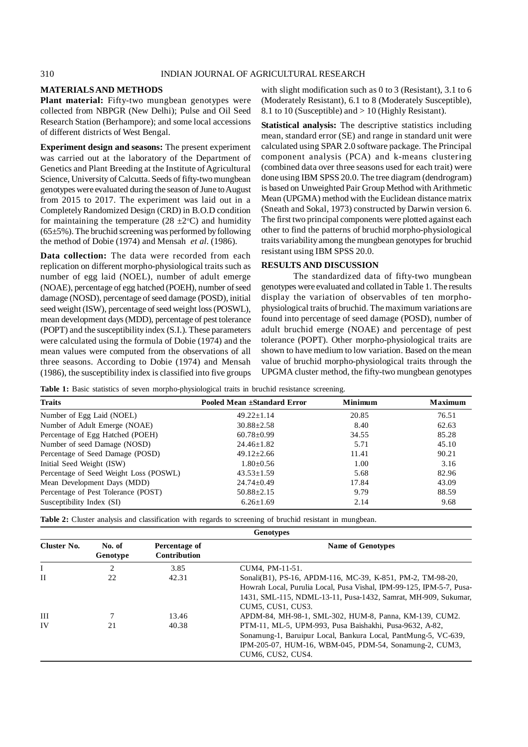# **MATERIALS AND METHODS**

**Plant material:** Fifty-two mungbean genotypes were collected from NBPGR (New Delhi); Pulse and Oil Seed Research Station (Berhampore); and some local accessions of different districts of West Bengal.

**Experiment design and seasons:** The present experiment was carried out at the laboratory of the Department of Genetics and Plant Breeding at the Institute of Agricultural Science, University of Calcutta. Seeds of fifty-two mungbean genotypes were evaluated during the season of June to August from 2015 to 2017. The experiment was laid out in a Completely Randomized Design (CRD) in B.O.D condition for maintaining the temperature (28  $\pm$ 2°C) and humidity  $(65±5%)$ . The bruchid screening was performed by following the method of Dobie (1974) and Mensah *et al*. (1986).

**Data collection:** The data were recorded from each replication on different morpho-physiological traits such as number of egg laid (NOEL), number of adult emerge (NOAE), percentage of egg hatched (POEH), number of seed damage (NOSD), percentage of seed damage (POSD), initial seed weight (ISW), percentage of seed weight loss (POSWL), mean development days (MDD), percentage of pest tolerance (POPT) and the susceptibility index (S.I.). These parameters were calculated using the formula of Dobie (1974) and the mean values were computed from the observations of all three seasons. According to Dobie (1974) and Mensah (1986), the susceptibility index is classified into five groups with slight modification such as 0 to 3 (Resistant), 3.1 to 6 (Moderately Resistant), 6.1 to 8 (Moderately Susceptible), 8.1 to 10 (Susceptible) and > 10 (Highly Resistant).

**Statistical analysis:** The descriptive statistics including mean, standard error (SE) and range in standard unit were calculated using SPAR 2.0 software package. The Principal component analysis (PCA) and k-means clustering (combined data over three seasons used for each trait) were done using IBM SPSS 20.0. The tree diagram (dendrogram) is based on Unweighted Pair Group Method with Arithmetic Mean (UPGMA) method with the Euclidean distance matrix (Sneath and Sokal, 1973) constructed by Darwin version 6. The first two principal components were plotted against each other to find the patterns of bruchid morpho-physiological traits variability among the mungbean genotypes for bruchid resistant using IBM SPSS 20.0.

#### **RESULTS AND DISCUSSION**

The standardized data of fifty-two mungbean genotypes were evaluated and collated in Table 1. The results display the variation of observables of ten morphophysiological traits of bruchid. The maximum variations are found into percentage of seed damage (POSD), number of adult bruchid emerge (NOAE) and percentage of pest tolerance (POPT). Other morpho-physiological traits are shown to have medium to low variation. Based on the mean value of bruchid morpho-physiological traits through the UPGMA cluster method, the fifty-two mungbean genotypes

|  |  |  |  | Table 1: Basic statistics of seven morpho-physiological traits in bruchid resistance screening. |  |  |  |  |
|--|--|--|--|-------------------------------------------------------------------------------------------------|--|--|--|--|
|--|--|--|--|-------------------------------------------------------------------------------------------------|--|--|--|--|

| <b>Traits</b>                          | Pooled Mean ±Standard Error | <b>Minimum</b> | <b>Maximum</b> |
|----------------------------------------|-----------------------------|----------------|----------------|
| Number of Egg Laid (NOEL)              | $49.22 + 1.14$              | 20.85          | 76.51          |
| Number of Adult Emerge (NOAE)          | $30.88 \pm 2.58$            | 8.40           | 62.63          |
| Percentage of Egg Hatched (POEH)       | $60.78 \pm 0.99$            | 34.55          | 85.28          |
| Number of seed Damage (NOSD)           | $24.46 \pm 1.82$            | 5.71           | 45.10          |
| Percentage of Seed Damage (POSD)       | $49.12 \pm 2.66$            | 11.41          | 90.21          |
| Initial Seed Weight (ISW)              | $1.80 \pm 0.56$             | 1.00           | 3.16           |
| Percentage of Seed Weight Loss (POSWL) | $43.53 \pm 1.59$            | 5.68           | 82.96          |
| Mean Development Days (MDD)            | $24.74 \pm 0.49$            | 17.84          | 43.09          |
| Percentage of Pest Tolerance (POST)    | $50.88 \pm 2.15$            | 9.79           | 88.59          |
| Susceptibility Index (SI)              | $6.26 \pm 1.69$             | 2.14           | 9.68           |

**Table 2:** Cluster analysis and classification with regards to screening of bruchid resistant in mungbean.

|             |                    |                               | <b>Genotypes</b>                                                     |
|-------------|--------------------|-------------------------------|----------------------------------------------------------------------|
| Cluster No. | No. of<br>Genotype | Percentage of<br>Contribution | <b>Name of Genotypes</b>                                             |
| Ι           | 2                  | 3.85                          | CUM4, PM-11-51.                                                      |
| H           | 22                 | 42.31                         | Sonali(B1), PS-16, APDM-116, MC-39, K-851, PM-2, TM-98-20,           |
|             |                    |                               | Howrah Local, Purulia Local, Pusa Vishal, IPM-99-125, IPM-5-7, Pusa- |
|             |                    |                               | 1431, SML-115, NDML-13-11, Pusa-1432, Samrat, MH-909, Sukumar,       |
|             |                    |                               | CUM5, CUS1, CUS3.                                                    |
| III         |                    | 13.46                         | APDM-84, MH-98-1, SML-302, HUM-8, Panna, KM-139, CUM2.               |
| IV          | 21                 | 40.38                         | PTM-11, ML-5, UPM-993, Pusa Baishakhi, Pusa-9632, A-82,              |
|             |                    |                               | Sonamung-1, Baruipur Local, Bankura Local, PantMung-5, VC-639,       |
|             |                    |                               | IPM-205-07, HUM-16, WBM-045, PDM-54, Sonamung-2, CUM3,               |
|             |                    |                               | CUM6, CUS2, CUS4.                                                    |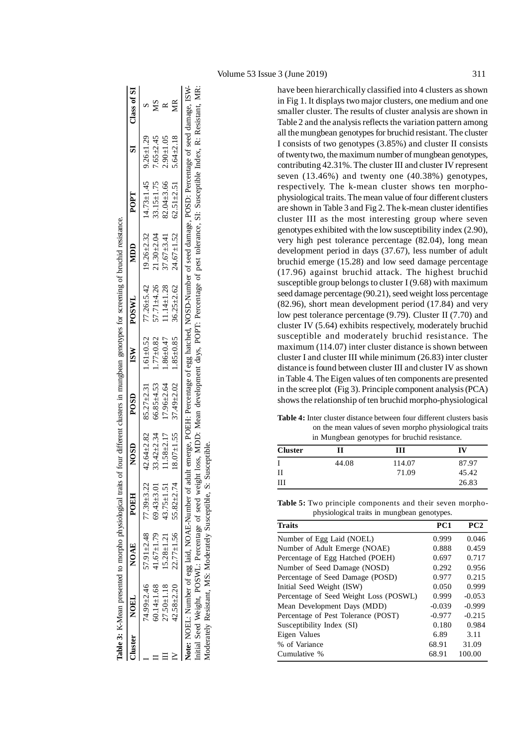|                  | more was a more first only we have the same was a second was a second was a second was a second was a second was a second was a second was a second was a second was a second was a second was a second was a second was a sec |                                   |                  |                  |               | straining the straining of the straining the straining the straining the straining of the straining of the straining of the straining of the straining of the straining of the straining of the straining of the straining of |                  |                  |                 |                |
|------------------|--------------------------------------------------------------------------------------------------------------------------------------------------------------------------------------------------------------------------------|-----------------------------------|------------------|------------------|---------------|-------------------------------------------------------------------------------------------------------------------------------------------------------------------------------------------------------------------------------|------------------|------------------|-----------------|----------------|
| Cluster NOEL     | <b>NOAE</b>                                                                                                                                                                                                                    | POEH                              |                  | <b>POSD</b>      | ISW           | <b>POSWL</b>                                                                                                                                                                                                                  | MDD              | POPT             |                 | SI Class of SI |
|                  | $74.99 \pm 2.46$ 57.91 $\pm 2.48$ 77.39 $\pm 3.22$                                                                                                                                                                             |                                   | $42.64 \pm 2.82$ | $85.27 \pm 2.31$ | $1.61 + 0.52$ | $77.26 \pm 5.42$                                                                                                                                                                                                              | $19.26 \pm 2.32$ | $14.73 \pm 1.45$ | $9.26 \pm 1.29$ |                |
| $60.14 \pm 1.68$ |                                                                                                                                                                                                                                | $41.67 \pm 1.79$ 69.43 $\pm$ 3.01 | $33.42 \pm 2.34$ | $66.85 \pm 4.53$ | $1.77 + 0.82$ | $57.71 + 4.26$                                                                                                                                                                                                                | $21.30 \pm 2.04$ | $33.15 \pm 1.75$ | $7.65 \pm 2.45$ | ζZ             |
| $27.50 \pm 1.18$ |                                                                                                                                                                                                                                | $15.28 \pm 1.21$ $43.75 \pm 1.51$ | $11.58 \pm 2.17$ | $17.96 \pm 2.64$ | $1.86 + 0.47$ | $11.14 \pm 1.28$                                                                                                                                                                                                              | $37.67 \pm 3.41$ | $82.04 \pm 3.66$ | $2.90 + 1.05$   | ≃              |
|                  | $42.58 \pm 2.20$ $22.77 \pm 1.56$ $55.82 \pm 2.74$                                                                                                                                                                             |                                   | $18.07 \pm 1.55$ | $37.49 \pm 2.02$ | $1.85 + 0.85$ | $36.25 \pm 2.62$                                                                                                                                                                                                              | $24.67 \pm 1.52$ | $62.51 \pm 2.51$ | $5.64 \pm 2.18$ | Я              |
|                  |                                                                                                                                                                                                                                |                                   |                  |                  |               | Note: NOEL: Number of egg laid, NOAE-Number of adult emerge, POEH: Percentage of egg hatched, NOSD-Number of seed damage, POSD: Percentage of seed damage, ISW-                                                               |                  |                  |                 |                |
|                  |                                                                                                                                                                                                                                |                                   |                  |                  |               | Initial Seed Weight, POSWL: Percentage of seed weight loss, MDD: Mean development days, POPT: Percentage of pest tolerance, SI: Susceptible Index, R: Resistant, MR:                                                          |                  |                  |                 |                |

Initial Seed Weight, POSWL: Percentage of seed weight loss, MDD: Mean development days, POPT: Percentage of pest tolerance, SI: Susceptible Index, R: Resistant, MR:

Moderately Resistant, MS: Moderately Susceptible, S: Susceptible.

Moderately Resistant, MS: Moderately Susceptible, S: Susceptible.

**Table 3:** K-Mean presented to morpho physiological traits of four different clusters in mungbean genotypes for screening of bruchid resistance. **Table 3:** K-Mean presented to morpho physiological traits of four different clusters in mumobean genotypes for screening of bruchid resistance

in Fig 1. It displays two major clusters, one medium and one smaller cluster. The results of cluster analysis are shown in Table 2 and the analysis reflects the variation pattern among all the mungbean genotypes for bruchid resistant. The cluster I consists of two genotypes (3.85%) and cluster II consists of twenty two, the maximum number of mungbean genotypes, contributing 42.31%. The cluster III and cluster IV represent seven (13.46%) and twenty one (40.38%) genotypes, respectively. The k-mean cluster shows ten morphophysiological traits. The mean value of four different clusters are shown in Table 3 and Fig 2. The k-mean cluster identifies cluster III as the most interesting group where seven genotypes exhibited with the low susceptibility index (2.90), very high pest tolerance percentage (82.04), long mean development period in days (37.67), less number of adult bruchid emerge (15.28) and low seed damage percentage (17.96) against bruchid attack. The highest bruchid susceptible group belongs to cluster I (9.68) with maximum seed damage percentage (90.21), seed weight loss percentage (82.96), short mean development period (17.84) and very low pest tolerance percentage (9.79). Cluster II (7.70) and cluster IV (5.64) exhibits respectively, moderately bruchid susceptible and moderately bruchid resistance. The maximum (114.07) inter cluster distance is shown between cluster I and cluster III while minimum (26.83) inter cluster distance is found between cluster III and cluster IV as shown in Table 4. The Eigen values of ten components are presented in the scree plot (Fig 3). Principle component analysis (PCA) shows the relationship of ten bruchid morpho-physiological

have been hierarchically classified into 4 clusters as shown

**Table 4:** Inter cluster distance between four different clusters basis on the mean values of seven morpho physiological traits in Mungbean genotypes for bruchid resistance.

| <b>Cluster</b> | Н     | Ш      | IV    |
|----------------|-------|--------|-------|
| I              | 44.08 | 114.07 | 87.97 |
| $_{\rm II}$    |       | 71.09  | 45.42 |
| Ш              |       |        | 26.83 |

**Table 5:** Two principle components and their seven morpho physiological traits in mungbean genotypes.

| <b>Traits</b>                          | PC <sub>1</sub> | PC2      |
|----------------------------------------|-----------------|----------|
| Number of Egg Laid (NOEL)              | 0.999           | 0.046    |
| Number of Adult Emerge (NOAE)          | 0.888           | 0.459    |
| Percentage of Egg Hatched (POEH)       | 0.697           | 0.717    |
| Number of Seed Damage (NOSD)           | 0.292           | 0.956    |
| Percentage of Seed Damage (POSD)       | 0.977           | 0.215    |
| Initial Seed Weight (ISW)              | 0.050           | 0.999    |
| Percentage of Seed Weight Loss (POSWL) | 0.999           | $-0.053$ |
| Mean Development Days (MDD)            | $-0.039$        | $-0.999$ |
| Percentage of Pest Tolerance (POST)    | $-0.977$        | $-0.215$ |
| Susceptibility Index (SI)              | 0.180           | 0.984    |
| Eigen Values                           | 6.89            | 3.11     |
| % of Variance                          | 68.91           | 31.09    |
| Cumulative %                           | 68.91           | 100.00   |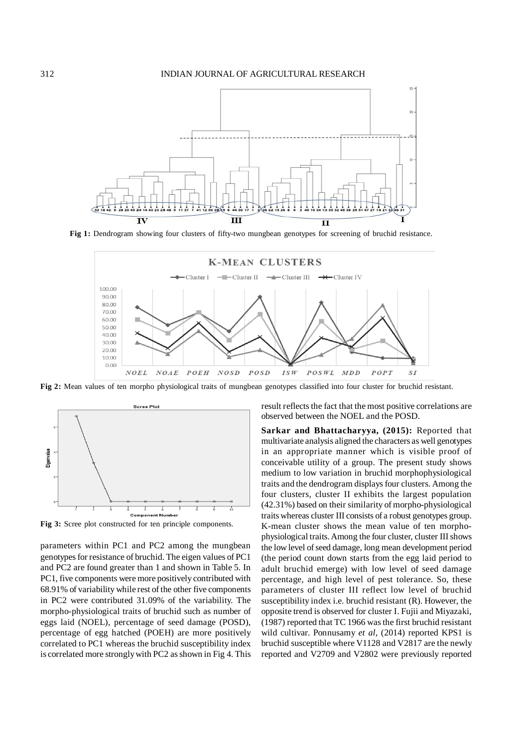

**Fig 1:** Dendrogram showing four clusters of fifty-two mungbean genotypes for screening of bruchid resistance.



**Fig 2:** Mean values of ten morpho physiological traits of mungbean genotypes classified into four cluster for bruchid resistant.



**Fig 3:** Scree plot constructed for ten principle components.

parameters within PC1 and PC2 among the mungbean genotypes for resistance of bruchid. The eigen values of PC1 and PC2 are found greater than 1 and shown in Table 5. In PC1, five components were more positively contributed with 68.91% of variability while rest of the other five components in PC2 were contributed 31.09% of the variability. The morpho-physiological traits of bruchid such as number of eggs laid (NOEL), percentage of seed damage (POSD), percentage of egg hatched (POEH) are more positively correlated to PC1 whereas the bruchid susceptibility index is correlated more strongly with PC2 as shown in Fig 4. This result reflects the fact that the most positive correlations are observed between the NOEL and the POSD.

**Sarkar and Bhattacharyya, (2015):** Reported that multivariate analysis aligned the characters as well genotypes in an appropriate manner which is visible proof of conceivable utility of a group. The present study shows medium to low variation in bruchid morphophysiological traits and the dendrogram displays four clusters. Among the four clusters, cluster II exhibits the largest population (42.31%) based on their similarity of morpho-physiological traits whereas cluster III consists of a robust genotypes group. K-mean cluster shows the mean value of ten morphophysiological traits. Among the four cluster, cluster III shows the low level of seed damage, long mean development period (the period count down starts from the egg laid period to adult bruchid emerge) with low level of seed damage percentage, and high level of pest tolerance. So, these parameters of cluster III reflect low level of bruchid susceptibility index i.e. bruchid resistant (R). However, the opposite trend is observed for cluster I. Fujii and Miyazaki, (1987) reported that TC 1966 was the first bruchid resistant wild cultivar. Ponnusamy *et al*, (2014) reported KPS1 is bruchid susceptible where V1128 and V2817 are the newly reported and V2709 and V2802 were previously reported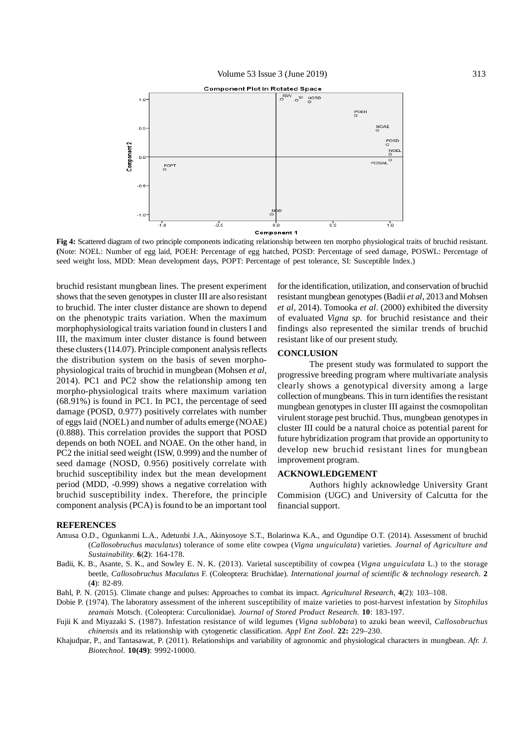

**Fig 4:** Scattered diagram of two principle components indicating relationship between ten morpho physiological traits of bruchid resistant. **(**Note: NOEL: Number of egg laid, POEH: Percentage of egg hatched, POSD: Percentage of seed damage, POSWL: Percentage of seed weight loss, MDD: Mean development days, POPT: Percentage of pest tolerance, SI: Susceptible Index.)

bruchid resistant mungbean lines. The present experiment shows that the seven genotypes in cluster III are also resistant to bruchid. The inter cluster distance are shown to depend on the phenotypic traits variation. When the maximum morphophysiological traits variation found in clusters I and III, the maximum inter cluster distance is found between these clusters (114.07). Principle component analysis reflects the distribution system on the basis of seven morphophysiological traits of bruchid in mungbean (Mohsen *et al*, 2014). PC1 and PC2 show the relationship among ten morpho-physiological traits where maximum variation (68.91%) is found in PC1. In PC1, the percentage of seed damage (POSD, 0.977) positively correlates with number of eggs laid (NOEL) and number of adults emerge (NOAE) (0.888). This correlation provides the support that POSD depends on both NOEL and NOAE. On the other hand, in PC2 the initial seed weight (ISW, 0.999) and the number of seed damage (NOSD, 0.956) positively correlate with bruchid susceptibility index but the mean development period (MDD, -0.999) shows a negative correlation with bruchid susceptibility index. Therefore, the principle component analysis (PCA) is found to be an important tool

for the identification, utilization, and conservation of bruchid resistant mungbean genotypes (Badii *et al*, 2013 and Mohsen *et al*, 2014). Tomooka *et al*. (2000) exhibited the diversity of evaluated *Vigna sp.* for bruchid resistance and their findings also represented the similar trends of bruchid resistant like of our present study.

# **CONCLUSION**

The present study was formulated to support the progressive breeding program where multivariate analysis clearly shows a genotypical diversity among a large collection of mungbeans. This in turn identifies the resistant mungbean genotypes in cluster III against the cosmopolitan virulent storage pest bruchid. Thus, mungbean genotypes in cluster III could be a natural choice as potential parent for future hybridization program that provide an opportunity to develop new bruchid resistant lines for mungbean improvement program.

#### **ACKNOWLEDGEMENT**

Authors highly acknowledge University Grant Commision (UGC) and University of Calcutta for the financial support.

#### **REFERENCES**

- Amusa O.D., Ogunkanmi L.A., Adetunbi J.A., Akinyosoye S.T., Bolarinwa K.A., and Ogundipe O.T. (2014). Assessment of bruchid (*Callosobruchus maculatus*) tolerance of some elite cowpea (*Vigna unguiculata*) varieties. *Journal of Agriculture and Sustainability*. **6**(**2**): 164-178.
- Badii, K. B., Asante, S. K., and Sowley E. N. K. (2013). Varietal susceptibility of cowpea (*Vigna unguiculata* L.) to the storage beetle, *Callosobruchus Maculatus* F. (Coleoptera: Bruchidae)*. International journal of scientific & technology research*. **2** (**4**): 82-89.

Bahl, P. N. (2015). Climate change and pulses: Approaches to combat its impact. *Agricultural Research*, **4**(2): 103–108.

- Dobie P. (1974). The laboratory assessment of the inherent susceptibility of maize varieties to post-harvest infestation by *Sitophilus zeamais* Motsch. (Coleoptera: Curculionidae). *Journal of Stored Product Research*. **10**: 183-197.
- Fujii K and Miyazaki S. (1987). Infestation resistance of wild legumes (*Vigna sublobata*) to azuki bean weevil, *Callosobruchus chinensis* and its relationship with cytogenetic classification. *Appl Ent Zool*. **22:** 229–230.
- Khajudpar, P., and Tantasawat, P. (2011). Relationships and variability of agronomic and physiological characters in mungbean. *Afr. J. Biotechnol.* **10(49)**: 9992-10000.